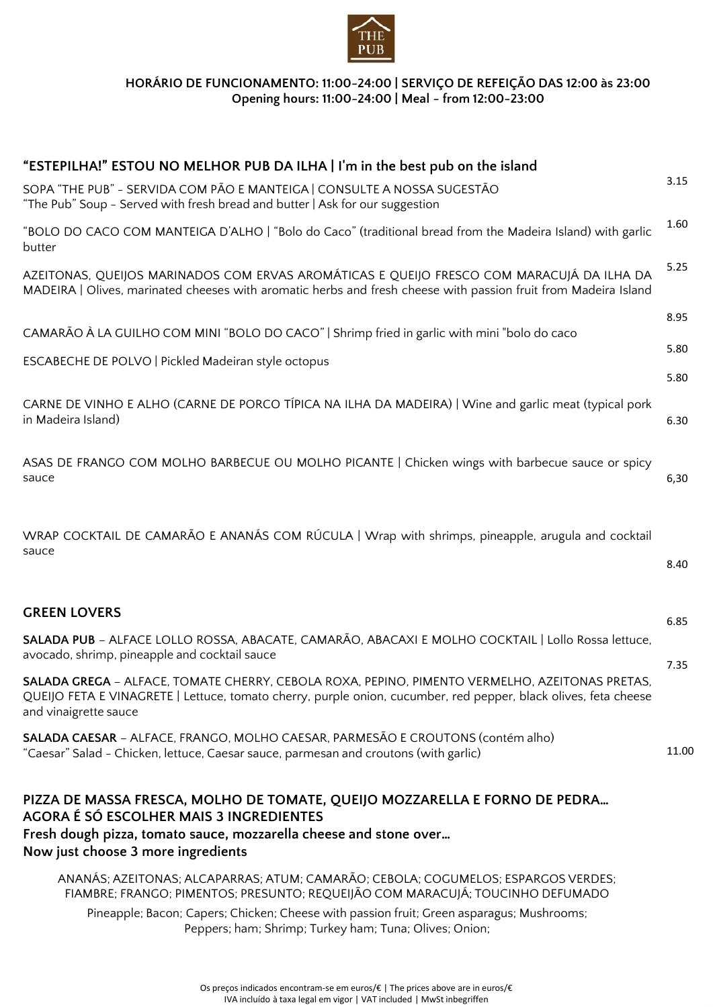

### **HORÁRIO DE FUNCIONAMENTO: 11:00-24:00 | SERVIÇO DE REFEIÇÃO DAS 12:00 às 23:00 Opening hours: 11:00-24:00 | Meal - from 12:00-23:00**

| "ESTEPILHA!" ESTOU NO MELHOR PUB DA ILHA   I'm in the best pub on the island                                                                                                                                                                                                                                               |              |  |  |
|----------------------------------------------------------------------------------------------------------------------------------------------------------------------------------------------------------------------------------------------------------------------------------------------------------------------------|--------------|--|--|
| SOPA "THE PUB" - SERVIDA COM PÃO E MANTEIGA   CONSULTE A NOSSA SUGESTÃO<br>"The Pub" Soup - Served with fresh bread and butter   Ask for our suggestion                                                                                                                                                                    |              |  |  |
| "BOLO DO CACO COM MANTEIGA D'ALHO   "Bolo do Caco" (traditional bread from the Madeira Island) with garlic<br>butter                                                                                                                                                                                                       |              |  |  |
| AZEITONAS, QUEIJOS MARINADOS COM ERVAS AROMÁTICAS E QUEIJO FRESCO COM MARACUJÁ DA ILHA DA<br>MADEIRA   Olives, marinated cheeses with aromatic herbs and fresh cheese with passion fruit from Madeira Island                                                                                                               |              |  |  |
| CAMARÃO À LA GUILHO COM MINI "BOLO DO CACO"   Shrimp fried in garlic with mini "bolo do caco                                                                                                                                                                                                                               | 8.95         |  |  |
| ESCABECHE DE POLVO   Pickled Madeiran style octopus                                                                                                                                                                                                                                                                        | 5.80<br>5.80 |  |  |
| CARNE DE VINHO E ALHO (CARNE DE PORCO TÍPICA NA ILHA DA MADEIRA)   Wine and garlic meat (typical pork<br>in Madeira Island)                                                                                                                                                                                                | 6.30         |  |  |
| ASAS DE FRANGO COM MOLHO BARBECUE OU MOLHO PICANTE   Chicken wings with barbecue sauce or spicy<br>sauce                                                                                                                                                                                                                   | 6,30         |  |  |
| WRAP COCKTAIL DE CAMARÃO E ANANÁS COM RÚCULA   Wrap with shrimps, pineapple, arugula and cocktail<br>sauce                                                                                                                                                                                                                 | 8.40         |  |  |
| <b>GREEN LOVERS</b>                                                                                                                                                                                                                                                                                                        | 6.85         |  |  |
| SALADA PUB - ALFACE LOLLO ROSSA, ABACATE, CAMARÃO, ABACAXI E MOLHO COCKTAIL   Lollo Rossa lettuce,<br>avocado, shrimp, pineapple and cocktail sauce                                                                                                                                                                        | 7.35         |  |  |
| SALADA GREGA - ALFACE, TOMATE CHERRY, CEBOLA ROXA, PEPINO, PIMENTO VERMELHO, AZEITONAS PRETAS,<br>QUEIJO FETA E VINAGRETE   Lettuce, tomato cherry, purple onion, cucumber, red pepper, black olives, feta cheese<br>and vinaigrette sauce                                                                                 |              |  |  |
| SALADA CAESAR - ALFACE, FRANGO, MOLHO CAESAR, PARMESÃO E CROUTONS (contém alho)<br>"Caesar" Salad - Chicken, lettuce, Caesar sauce, parmesan and croutons (with garlic)                                                                                                                                                    | 11.00        |  |  |
| PIZZA DE MASSA FRESCA, MOLHO DE TOMATE, QUEIJO MOZZARELLA E FORNO DE PEDRA<br>AGORA É SÓ ESCOLHER MAIS 3 INGREDIENTES<br>Fresh dough pizza, tomato sauce, mozzarella cheese and stone over<br>Now just choose 3 more ingredients                                                                                           |              |  |  |
| ANANÁS; AZEITONAS; ALCAPARRAS; ATUM; CAMARÃO; CEBOLA; COGUMELOS; ESPARGOS VERDES;<br>FIAMBRE; FRANGO; PIMENTOS; PRESUNTO; REQUEIJÃO COM MARACUJÁ; TOUCINHO DEFUMADO<br>Pineapple; Bacon; Capers; Chicken; Cheese with passion fruit; Green asparagus; Mushrooms;<br>Peppers; ham; Shrimp; Turkey ham; Tuna; Olives; Onion; |              |  |  |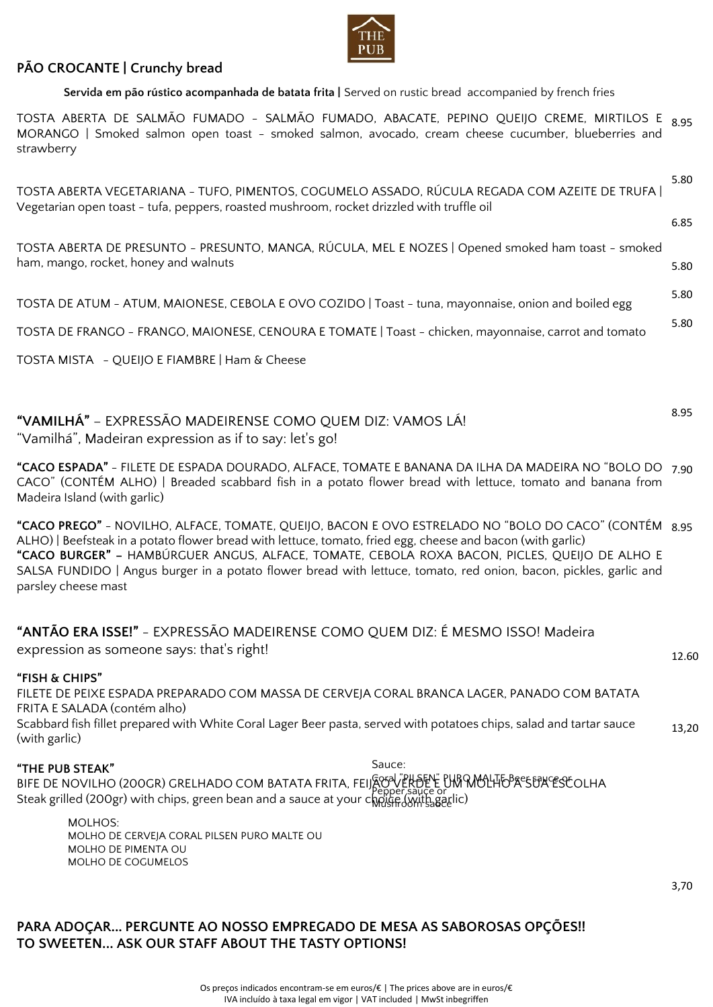

# **PÃO CROCANTE | Crunchy bread**

**Servida em pão rústico acompanhada de batata frita |** Served on rustic bread accompanied by french fries

TOSTA ABERTA DE SALMÃO FUMADO - SALMÃO FUMADO, ABACATE, PEPINO QUEIJO CREME, MIRTILOS E  $_{\rm 8.95}$ MORANGO | Smoked salmon open toast - smoked salmon, avocado, cream cheese cucumber, blueberries and strawberry

| TOSTA ABERTA VEGETARIANA - TUFO, PIMENTOS, COGUMELO ASSADO, RÚCULA REGADA COM AZEITE DE TRUFA<br>Vegetarian open toast - tufa, peppers, roasted mushroom, rocket drizzled with truffle oil                                                                                                                                                                                                                                                                      |       |  |
|-----------------------------------------------------------------------------------------------------------------------------------------------------------------------------------------------------------------------------------------------------------------------------------------------------------------------------------------------------------------------------------------------------------------------------------------------------------------|-------|--|
|                                                                                                                                                                                                                                                                                                                                                                                                                                                                 | 6.85  |  |
| TOSTA ABERTA DE PRESUNTO - PRESUNTO, MANGA, RÚCULA, MEL E NOZES   Opened smoked ham toast - smoked<br>ham, mango, rocket, honey and walnuts                                                                                                                                                                                                                                                                                                                     | 5.80  |  |
| TOSTA DE ATUM - ATUM, MAIONESE, CEBOLA E OVO COZIDO   Toast - tuna, mayonnaise, onion and boiled egg                                                                                                                                                                                                                                                                                                                                                            | 5.80  |  |
| TOSTA DE FRANGO - FRANGO, MAIONESE, CENOURA E TOMATE   Toast - chicken, mayonnaise, carrot and tomato                                                                                                                                                                                                                                                                                                                                                           | 5.80  |  |
| TOSTA MISTA - QUEIJO E FIAMBRE   Ham & Cheese                                                                                                                                                                                                                                                                                                                                                                                                                   |       |  |
|                                                                                                                                                                                                                                                                                                                                                                                                                                                                 |       |  |
| "VAMILHÁ" - EXPRESSÃO MADEIRENSE COMO QUEM DIZ: VAMOS LÁ!<br>"Vamilhá", Madeiran expression as if to say: let's go!                                                                                                                                                                                                                                                                                                                                             | 8.95  |  |
| "CACO ESPADA" - FILETE DE ESPADA DOURADO, ALFACE, TOMATE E BANANA DA ILHA DA MADEIRA NO "BOLO DO 7.90<br>CACO" (CONTÉM ALHO)   Breaded scabbard fish in a potato flower bread with lettuce, tomato and banana from<br>Madeira Island (with garlic)                                                                                                                                                                                                              |       |  |
| "CACO PREGO" - NOVILHO, ALFACE, TOMATE, QUEIJO, BACON E OVO ESTRELADO NO "BOLO DO CACO" (CONTÉM 8.95<br>ALHO)   Beefsteak in a potato flower bread with lettuce, tomato, fried egg, cheese and bacon (with garlic)<br>"CACO BURGER" - HAMBÚRGUER ANGUS, ALFACE, TOMATE, CEBOLA ROXA BACON, PICLES, QUEIJO DE ALHO E<br>SALSA FUNDIDO   Angus burger in a potato flower bread with lettuce, tomato, red onion, bacon, pickles, garlic and<br>parsley cheese mast |       |  |
| "ANTÃO ERA ISSE!" - EXPRESSÃO MADEIRENSE COMO QUEM DIZ: É MESMO ISSO! Madeira<br>expression as someone says: that's right!                                                                                                                                                                                                                                                                                                                                      | 12.60 |  |
| "FISH & CHIPS"<br>FILETE DE PEIXE ESPADA PREPARADO COM MASSA DE CERVEJA CORAL BRANCA LAGER, PANADO COM BATATA<br>FRITA E SALADA (contém alho)<br>Scabbard fish fillet prepared with White Coral Lager Beer pasta, served with potatoes chips, salad and tartar sauce<br>(with garlic)                                                                                                                                                                           | 13,20 |  |
| Sauce:<br>"THE PUB STEAK"<br>THE DE NOVILHO (200GR) GRELHADO COM BATATA FRITA, FEIJSON LEHDELE OUN MOLHORESURGESCOLHA                                                                                                                                                                                                                                                                                                                                           |       |  |
| <b>MOLHOS:</b><br>MOLHO DE CERVEJA CORAL PILSEN PURO MALTE OU<br>MOLHO DE PIMENTA OU<br>MOLHO DE COGUMELOS                                                                                                                                                                                                                                                                                                                                                      |       |  |

3,70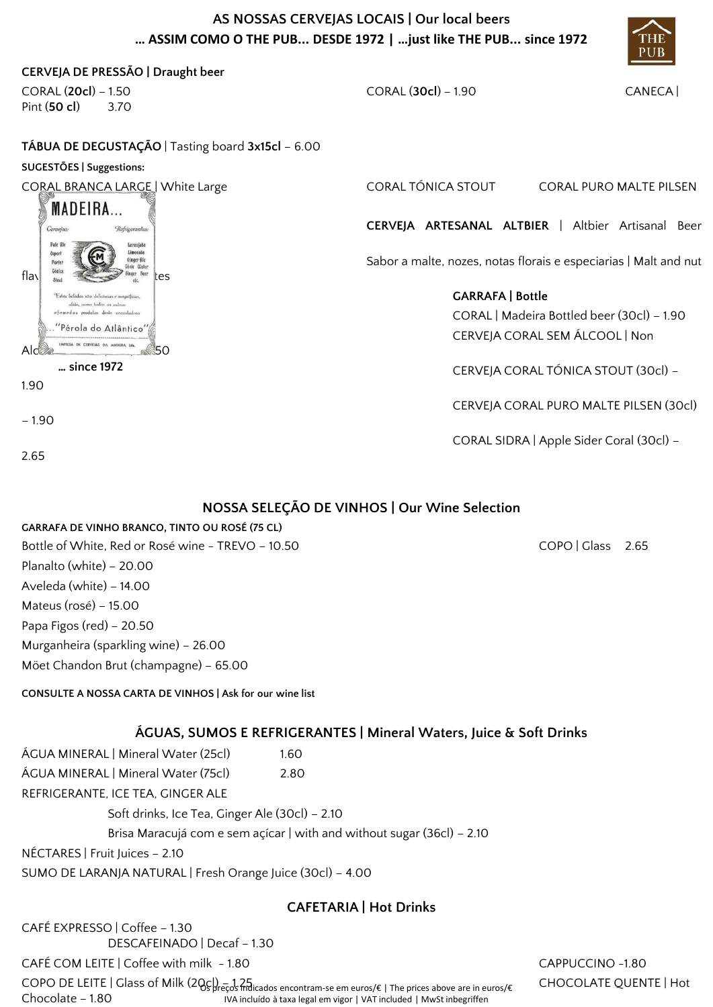# **AS NOSSAS CERVEJAS LOCAIS | Our local beers … ASSIM COMO O THE PUB... DESDE 1972 | …just like THE PUB... since 1972**



| CERVEJA DE PRESSÃO   Draught beer                                                                          |                                                                    |                                                                  |  |  |
|------------------------------------------------------------------------------------------------------------|--------------------------------------------------------------------|------------------------------------------------------------------|--|--|
| CORAL (20cl) – 1.50                                                                                        | CORAL (30cl) - 1.90<br>CANECA                                      |                                                                  |  |  |
| Pint (50 cl)<br>3.70                                                                                       |                                                                    |                                                                  |  |  |
| TÁBUA DE DEGUSTAÇÃO   Tasting board 3x15cl - 6.00                                                          |                                                                    |                                                                  |  |  |
| SUGESTÕES   Suggestions:                                                                                   |                                                                    |                                                                  |  |  |
| CORAL BRANCA LARGE   White Large                                                                           | CORAL TÓNICA STOUT                                                 | <b>CORAL PURO MALTE PILSEN</b>                                   |  |  |
| <b>MADEIRA</b>                                                                                             |                                                                    |                                                                  |  |  |
| Cervejas:<br>Refrigerantes:                                                                                |                                                                    | CERVEJA ARTESANAL ALTBIER   Altbier Artisanal Beer               |  |  |
| Laranjada<br>Pale II<br>Limonada<br>Export                                                                 |                                                                    |                                                                  |  |  |
| Ginger file<br>Porter<br><b><i>Gonic</i></b> Water<br>Gónico<br>Singer Beer<br>flay<br>tes                 |                                                                    | Sabor a malte, nozes, notas florais e especiarias   Malt and nut |  |  |
| Estas bebidas são deficiosas e magnificas,                                                                 | <b>GARRAFA   Bottle</b>                                            |                                                                  |  |  |
| diás, como lodos os outras<br>afomodos produlos desto cocantudora                                          |                                                                    | CORAL   Madeira Bottled beer (30cl) - 1.90                       |  |  |
| érola do Atlântico                                                                                         |                                                                    | CERVEJA CORAL SEM ÁLCOOL   Non                                   |  |  |
| DE CERVEJAS DA MADEIRA, 1de<br>50<br>Alc©                                                                  |                                                                    |                                                                  |  |  |
| since 1972                                                                                                 |                                                                    | CERVEJA CORAL TÓNICA STOUT (30cl) -                              |  |  |
| 1.90                                                                                                       |                                                                    |                                                                  |  |  |
|                                                                                                            |                                                                    | CERVEJA CORAL PURO MALTE PILSEN (30cl)                           |  |  |
| $-1.90$                                                                                                    |                                                                    |                                                                  |  |  |
| 2.65                                                                                                       |                                                                    | CORAL SIDRA   Apple Sider Coral (30cl) -                         |  |  |
|                                                                                                            |                                                                    |                                                                  |  |  |
|                                                                                                            |                                                                    |                                                                  |  |  |
|                                                                                                            | NOSSA SELEÇÃO DE VINHOS   Our Wine Selection                       |                                                                  |  |  |
| <b>GARRAFA DE VINHO BRANCO, TINTO OU ROSÉ (75 CL)</b><br>Bottle of White, Red or Rosé wine - TREVO - 10.50 |                                                                    | COPO   Glass                                                     |  |  |
| Planalto (white) - 20.00                                                                                   |                                                                    | 2.65                                                             |  |  |
| Aveleda (white) - 14.00                                                                                    |                                                                    |                                                                  |  |  |
| Mateus (rosé) - 15.00                                                                                      |                                                                    |                                                                  |  |  |
| Papa Figos (red) - 20.50                                                                                   |                                                                    |                                                                  |  |  |
| Murganheira (sparkling wine) - 26.00                                                                       |                                                                    |                                                                  |  |  |
| Möet Chandon Brut (champagne) - 65.00                                                                      |                                                                    |                                                                  |  |  |
|                                                                                                            |                                                                    |                                                                  |  |  |
| CONSULTE A NOSSA CARTA DE VINHOS   Ask for our wine list                                                   |                                                                    |                                                                  |  |  |
|                                                                                                            | ÁGUAS, SUMOS E REFRIGERANTES   Mineral Waters, Juice & Soft Drinks |                                                                  |  |  |
| ÁGUA MINERAL   Mineral Water (25cl)<br>1.60                                                                |                                                                    |                                                                  |  |  |
| ÁGUA MINERAL   Mineral Water (75cl)<br>2.80                                                                |                                                                    |                                                                  |  |  |
| REFRIGERANTE, ICE TEA, GINGER ALE                                                                          |                                                                    |                                                                  |  |  |
| Soft drinks, Ice Tea, Ginger Ale (30cl) - 2.10                                                             |                                                                    |                                                                  |  |  |
| Brisa Maracujá com e sem açícar   with and without sugar (36cl) – 2.10                                     |                                                                    |                                                                  |  |  |
| NÉCTARES   Fruit Juices - 2.10                                                                             |                                                                    |                                                                  |  |  |
| SUMO DE LARANJA NATURAL   Fresh Orange Juice (30cl) - 4.00                                                 |                                                                    |                                                                  |  |  |

# **CAFETARIA | Hot Drinks**

CAFÉ EXPRESSO | Coffee – 1.30 DESCAFEINADO | Decaf – 1.30

CAFÉ COM LEITE | Coffee with milk - 1.80 CAPPUCCINO - 1.80

Chocolate – 1.80

COPO DE LEITE | Glass of Milk (2Qc) – 1 25 candidates encontram-se em euros/€ | The prices above are in euros/€ CHOCOLATE QUENTE | Hot IVA incluído à taxa legal em vigor | VAT included | MwSt inbegriffen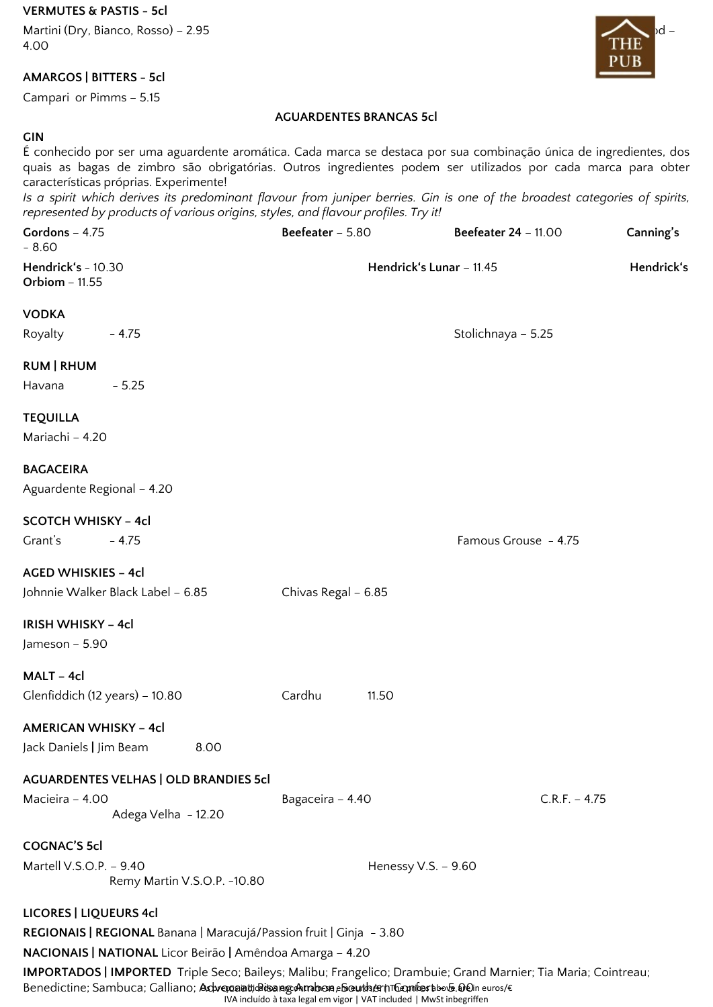**VERMUTES & PASTIS - 5cl**

Martini (Dry, Bianco, Rosso) – 2.95 Personal de la contrada de la contrada de la contrada de la contrada de la 4.00

### **AMARGOS | BITTERS - 5cl**

Campari or Pimms – 5.15

### **AGUARDENTES BRANCAS 5cl**

#### **GIN**

| É conhecido por ser uma aguardente aromática. Cada marca se destaca por sua combinação única de ingredientes, dos<br>quais as bagas de zimbro são obrigatórias. Outros ingredientes podem ser utilizados por cada marca para obter<br>características próprias. Experimente!<br>Is a spirit which derives its predominant flavour from juniper berries. Gin is one of the broadest categories of spirits,<br>represented by products of various origins, styles, and flavour profiles. Try it! |                                        |                     |                             |                 |
|------------------------------------------------------------------------------------------------------------------------------------------------------------------------------------------------------------------------------------------------------------------------------------------------------------------------------------------------------------------------------------------------------------------------------------------------------------------------------------------------|----------------------------------------|---------------------|-----------------------------|-----------------|
| Gordons - 4.75<br>$-8.60$                                                                                                                                                                                                                                                                                                                                                                                                                                                                      | Beefeater - 5.80                       |                     | <b>Beefeater 24 - 11.00</b> | Canning's       |
| Hendrick's - 10.30<br><b>Orbiom - 11.55</b>                                                                                                                                                                                                                                                                                                                                                                                                                                                    | Hendrick's Lunar - 11.45<br>Hendrick's |                     |                             |                 |
| <b>VODKA</b>                                                                                                                                                                                                                                                                                                                                                                                                                                                                                   |                                        |                     |                             |                 |
| Royalty $-4.75$                                                                                                                                                                                                                                                                                                                                                                                                                                                                                |                                        |                     | Stolichnaya - 5.25          |                 |
| <b>RUM   RHUM</b><br>Havana<br>$-5.25$                                                                                                                                                                                                                                                                                                                                                                                                                                                         |                                        |                     |                             |                 |
| <b>TEQUILLA</b><br>Mariachi - 4.20                                                                                                                                                                                                                                                                                                                                                                                                                                                             |                                        |                     |                             |                 |
| <b>BAGACEIRA</b><br>Aguardente Regional - 4.20                                                                                                                                                                                                                                                                                                                                                                                                                                                 |                                        |                     |                             |                 |
| <b>SCOTCH WHISKY - 4cl</b><br>Grant's<br>$-4.75$                                                                                                                                                                                                                                                                                                                                                                                                                                               |                                        |                     | Famous Grouse - 4.75        |                 |
| <b>AGED WHISKIES - 4cl</b><br>Johnnie Walker Black Label - 6.85                                                                                                                                                                                                                                                                                                                                                                                                                                | Chivas Regal - 6.85                    |                     |                             |                 |
| <b>IRISH WHISKY - 4cl</b><br>Jameson - 5.90                                                                                                                                                                                                                                                                                                                                                                                                                                                    |                                        |                     |                             |                 |
| MALT – 4cl<br>Glenfiddich (12 years) - 10.80                                                                                                                                                                                                                                                                                                                                                                                                                                                   | Cardhu                                 | 11.50               |                             |                 |
| <b>AMERICAN WHISKY - 4cl</b><br>Jack Daniels   Jim Beam<br>8.00                                                                                                                                                                                                                                                                                                                                                                                                                                |                                        |                     |                             |                 |
| <b>AGUARDENTES VELHAS   OLD BRANDIES 5cl</b><br>Macieira - 4.00<br>Adega Velha - 12.20                                                                                                                                                                                                                                                                                                                                                                                                         | Bagaceira - 4.40                       |                     |                             | $C.R.F. - 4.75$ |
| <b>COGNAC'S 5cl</b><br>Martell V.S.O.P. - 9.40<br>Remy Martin V.S.O.P. -10.80                                                                                                                                                                                                                                                                                                                                                                                                                  |                                        | Henessy V.S. - 9.60 |                             |                 |
| <b>LICORES   LIQUEURS 4cl</b><br>REGIONAIS   REGIONAL Banana   Maracujá/Passion fruit   Ginja - 3.80<br>NACIONAIS   NATIONAL Licor Beirão   Amêndoa Amarga - 4.20                                                                                                                                                                                                                                                                                                                              |                                        |                     |                             |                 |

**IMPORTADOS | IMPORTED** Triple Seco; Baileys; Malibu; Frangelico; Drambuie; Grand Marnier; Tia Maria; Cointreau; Benedictine; Sambuca; Galliano; **Advocaat; Atsang Ambon, SouthernTGomfort** bo**v. O**0n euros/€

IVA incluído à taxa legal em vigor | VAT included | MwSt inbegriffen